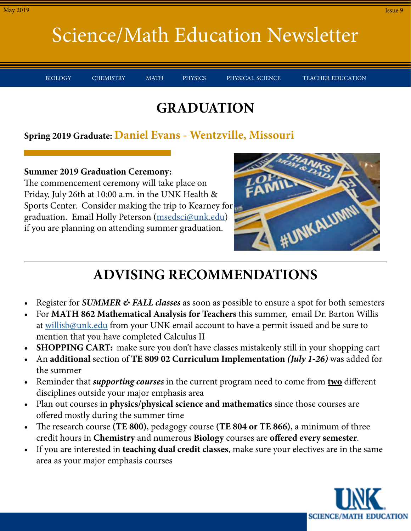BIOLOGY CHEMISTRY MATH PHYSICS PHYSICAL-SCIENCE TEACHER-EDUCATION

### **GRADUATION**

#### **Spring 2019 Graduate: Daniel Evans - Wentzville, Missouri**

**Summer 2019 Graduation Ceremony:** The commencement ceremony will take place on Friday, July 26th at 10:00 a.m. in the UNK Health & Sports Center. Consider making the trip to Kearney for graduation. Email Holly Peterson [\(msedsci@unk.edu\)](mailto:msedsci%40unk.edu?subject=) if you are planning on attending summer graduation.



## **ADVISING RECOMMENDATIONS**

- Register for *SUMMER & FALL classes* as soon as possible to ensure a spot for both semesters
- For **MATH 862 Mathematical Analysis for Teachers** this summer, email Dr. Barton Willis at [willisb@unk.edu](mailto:willisb%40unk.edu?subject=) from your UNK email account to have a permit issued and be sure to mention that you have completed Calculus II
- **• SHOPPING CART:** make sure you don't have classes mistakenly still in your shopping cart
- An **additional** section of **TE 809 02 Curriculum Implementation** *(July 1-26)* was added for the summer
- Reminder that *supporting courses* in the current program need to come from **two** different disciplines outside your major emphasis area
- Plan out courses in **physics/physical science and mathematics** since those courses are offered mostly during the summer time
- The research course **(TE 800)**, pedagogy course **(TE 804 or TE 866)**, a minimum of three credit hours in **Chemistry** and numerous **Biology** courses are **offered every semester**.
- If you are interested in **teaching dual credit classes**, make sure your electives are in the same area as your major emphasis courses

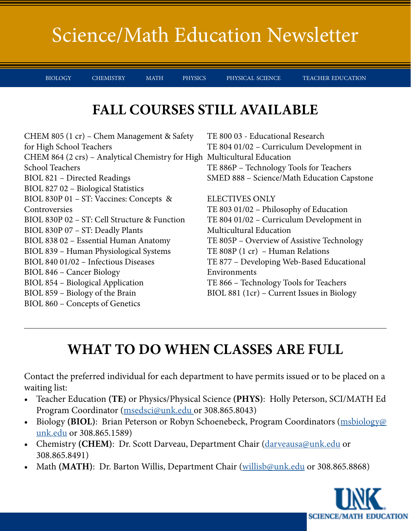BIOLOGY CHEMISTRY MATH PHYSICS PHYSICAL-SCIENCE TEACHER-EDUCATION

#### **FALL COURSES STILL AVAILABLE**

CHEM 805 (1 cr) – Chem Management & Safety for High School Teachers CHEM 864 (2 crs) – Analytical Chemistry for High Multicultural Education School Teachers BIOL 821 – Directed Readings BIOL 827 02 – Biological Statistics BIOL 830P 01 – ST: Vaccines: Concepts & Controversies BIOL 830P 02 – ST: Cell Structure & Function BIOL 830P 07 – ST: Deadly Plants BIOL 838 02 – Essential Human Anatomy BIOL 839 – Human Physiological Systems BIOL 840 01/02 – Infectious Diseases BIOL 846 – Cancer Biology BIOL 854 – Biological Application BIOL 859 – Biology of the Brain BIOL 860 – Concepts of Genetics TE 800 03 - Educational Research TE 804 01/02 – Curriculum Development in TE 886P – Technology Tools for Teachers SMED 888 – Science/Math Education Capstone ELECTIVES ONLY TE 803 01/02 – Philosophy of Education TE 804 01/02 – Curriculum Development in Multicultural Education TE 805P – Overview of Assistive Technology TE 808P (1 cr) – Human Relations TE 877 – Developing Web-Based Educational Environments TE 866 – Technology Tools for Teachers BIOL 881 (1cr) – Current Issues in Biology

## **WHAT TO DO WHEN CLASSES ARE FULL**

Contact the preferred individual for each department to have permits issued or to be placed on a waiting list:

- Teacher Education **(TE)** or Physics/Physical Science **(PHYS)**: Holly Peterson, SCI/MATH Ed Program Coordinator (msedsci@unk.edu or 308.865.8043)
- Biology (BIOL): Brian Peterson or Robyn Schoenebeck, Program Coordinators (msbiology@ unk.edu or 308.865.1589)
- Chemistry (CHEM): Dr. Scott Darveau, Department Chair ([darveausa@unk.edu](mailto:darveausa%40unk.edu?subject=) or 308.865.8491)
- Math **(MATH)**: Dr. Barton Willis, Department Chair (willisb@unk.edu or 308.865.8868)

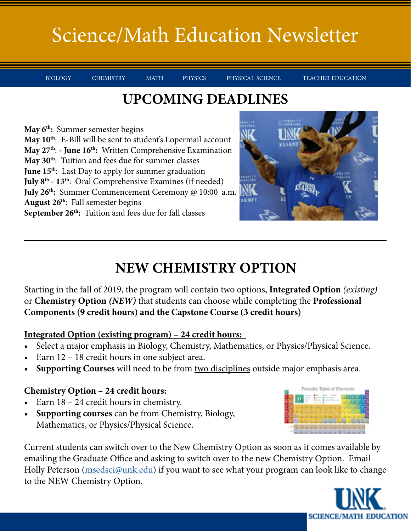BIOLOGY CHEMISTRY MATH PHYSICS PHYSICAL-SCIENCE TEACHER-EDUCATION

#### **UPCOMING DEADLINES**

**May 6th:** Summer semester begins **May 10th**: E-Bill will be sent to student's Lopermail account **May 27th**: **- June 16th:** Written Comprehensive Examination **May 30th**: Tuition and fees due for summer classes **June 15<sup>th</sup>:** Last Day to apply for summer graduation **July 8th - 13th**: Oral Comprehensive Examines (if needed) **July 26th:** Summer Commencement Ceremony @ 10:00 a.m. **August 26th**: Fall semester begins September 26<sup>th</sup>: Tuition and fees due for fall classes



## **NEW CHEMISTRY OPTION**

Starting in the fall of 2019, the program will contain two options, **Integrated Option** *(existing)* or **Chemistry Option** *(NEW)* that students can choose while completing the **Professional Components (9 credit hours) and the Capstone Course (3 credit hours)**

#### **Integrated Option (existing program) – 24 credit hours:**

- Select a major emphasis in Biology, Chemistry, Mathematics, or Physics/Physical Science.
- Earn 12 18 credit hours in one subject area.
- **• Supporting Courses** will need to be from two disciplines outside major emphasis area.

#### **Chemistry Option – 24 credit hours:**

- Earn 18 24 credit hours in chemistry.
- **• Supporting courses** can be from Chemistry, Biology, Mathematics, or Physics/Physical Science.

Current students can switch over to the New Chemistry Option as soon as it comes available by emailing the Graduate Office and asking to switch over to the new Chemistry Option. Email Holly Peterson (msedsci@unk.edu) if you want to see what your program can look like to change to the NEW Chemistry Option.

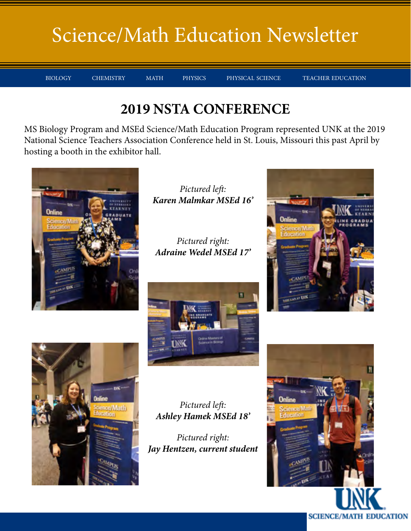BIOLOGY CHEMISTRY MATH PHYSICS PHYSICAL-SCIENCE TEACHER-EDUCATION

#### **2019 NSTA CONFERENCE**

MS Biology Program and MSEd Science/Math Education Program represented UNK at the 2019 National Science Teachers Association Conference held in St. Louis, Missouri this past April by hosting a booth in the exhibitor hall.



*Pictured left: Karen Malmkar MSEd 16'*

*Pictured right: Adraine Wedel MSEd 17'*



*Pictured left: Ashley Hamek MSEd 18'*

*Pictured right: Jay Hentzen, current student*